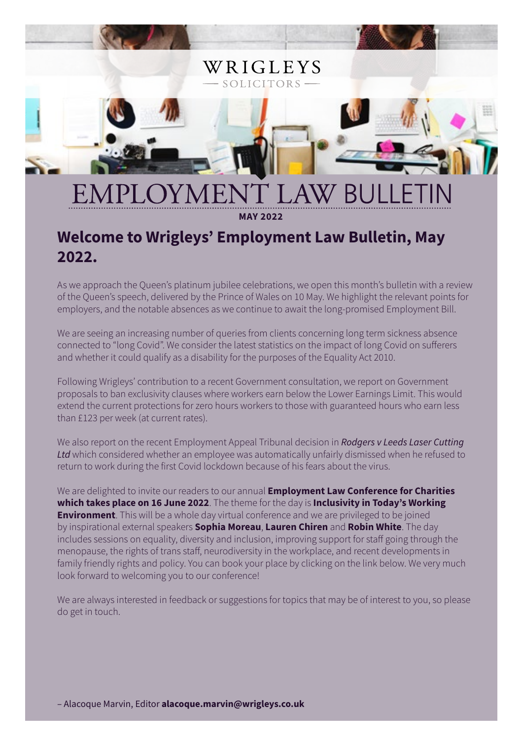

**MAY 2022**

# **Welcome to Wrigleys' Employment Law Bulletin, May 2022.**

As we approach the Queen's platinum jubilee celebrations, we open this month's bulletin with a review of the Queen's speech, delivered by the Prince of Wales on 10 May. We highlight the relevant points for employers, and the notable absences as we continue to await the long-promised Employment Bill.

We are seeing an increasing number of queries from clients concerning long term sickness absence connected to "long Covid". We consider the latest statistics on the impact of long Covid on sufferers and whether it could qualify as a disability for the purposes of the Equality Act 2010.

Following Wrigleys' contribution to a recent Government consultation, we report on Government proposals to ban exclusivity clauses where workers earn below the Lower Earnings Limit. This would extend the current protections for zero hours workers to those with guaranteed hours who earn less than £123 per week (at current rates).

We also report on the recent Employment Appeal Tribunal decision in *Rodgers v Leeds Laser Cutting Ltd* which considered whether an employee was automatically unfairly dismissed when he refused to return to work during the first Covid lockdown because of his fears about the virus.

We are delighted to invite our readers to our annual **Employment Law Conference for Charities which takes place on 16 June 2022**. The theme for the day is **Inclusivity in Today's Working Environment**. This will be a whole day virtual conference and we are privileged to be joined by inspirational external speakers **Sophia Moreau**, **Lauren Chiren** and **Robin White**. The day includes sessions on equality, diversity and inclusion, improving support for staff going through the menopause, the rights of trans staff, neurodiversity in the workplace, and recent developments in family friendly rights and policy. You can book your place by clicking on the link below. We very much look forward to welcoming you to our conference!

We are always interested in feedback or suggestions for topics that may be of interest to you, so please do get in touch.

– Alacoque Marvin, Editor **alacoque.marvin@wrigleys.co.uk**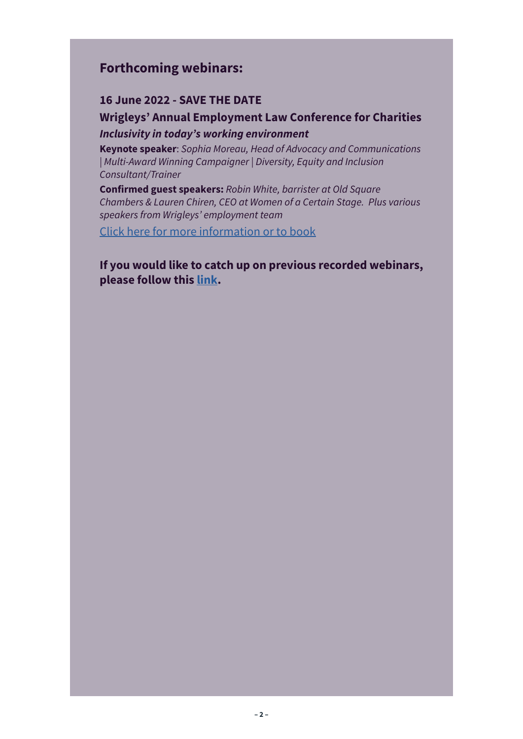### **Forthcoming webinars:**

#### **16 June 2022 - SAVE THE DATE**

### **Wrigleys' Annual Employment Law Conference for Charities** *Inclusivity in today's working environment*

**Keynote speaker**: *Sophia Moreau, Head of Advocacy and Communications | Multi-Award Winning Campaigner | Diversity, Equity and Inclusion Consultant/Trainer*

**Confirmed guest speakers:** *Robin White, barrister at Old Square Chambers & Lauren Chiren, CEO at Women of a Certain Stage. Plus various speakers from Wrigleys' employment team*

[Click here for more information or to book](https://www.wrigleys.co.uk/events/detail/wrigleys-annual-employment-law-conference-for-charities/)

**If you would like to catch up on previous recorded webinars, please follow this [link.](https://www.wrigleys.co.uk/events/recorded-webinars/)**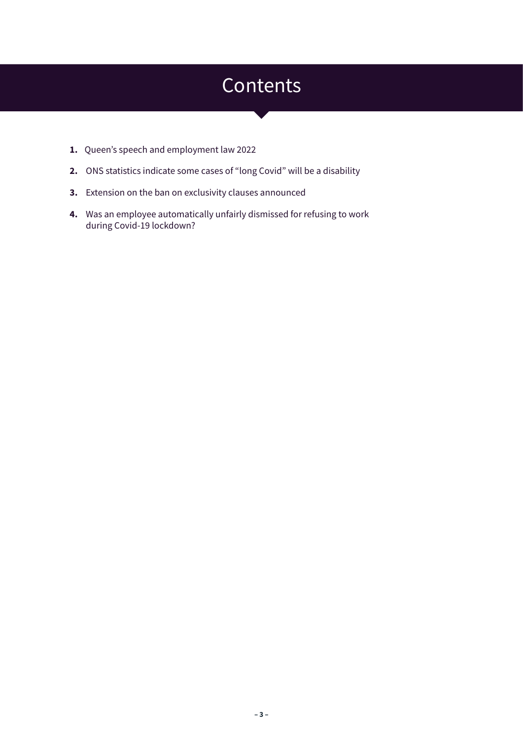# **Contents**

- **1.** Queen's speech and employment law 2022
- **2.** ONS statistics indicate some cases of "long Covid" will be a disability
- **3.** Extension on the ban on exclusivity clauses announced
- **4.** Was an employee automatically unfairly dismissed for refusing to work during Covid-19 lockdown?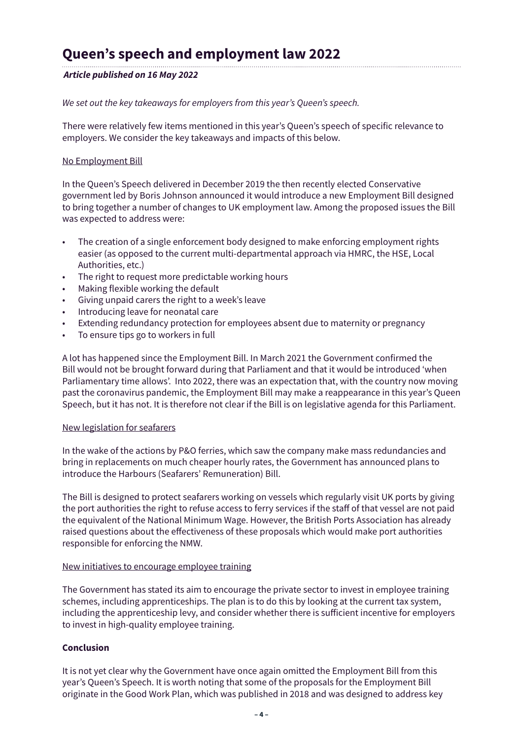### **Queen's speech and employment law 2022**

#### *Article published on 16 May 2022*

#### *We set out the key takeaways for employers from this year's Queen's speech.*

There were relatively few items mentioned in this year's Queen's speech of specific relevance to employers. We consider the key takeaways and impacts of this below.

#### No Employment Bill

In the Queen's Speech delivered in December 2019 the then recently elected Conservative government led by Boris Johnson announced it would introduce a new Employment Bill designed to bring together a number of changes to UK employment law. Among the proposed issues the Bill was expected to address were:

- The creation of a single enforcement body designed to make enforcing employment rights easier (as opposed to the current multi-departmental approach via HMRC, the HSE, Local Authorities, etc.)
- The right to request more predictable working hours
- Making flexible working the default
- Giving unpaid carers the right to a week's leave
- Introducing leave for neonatal care
- Extending redundancy protection for employees absent due to maternity or pregnancy
- To ensure tips go to workers in full

A lot has happened since the Employment Bill. In March 2021 the Government confirmed the Bill would not be brought forward during that Parliament and that it would be introduced 'when Parliamentary time allows'. Into 2022, there was an expectation that, with the country now moving past the coronavirus pandemic, the Employment Bill may make a reappearance in this year's Queen Speech, but it has not. It is therefore not clear if the Bill is on legislative agenda for this Parliament.

#### New legislation for seafarers

In the wake of the actions by P&O ferries, which saw the company make mass redundancies and bring in replacements on much cheaper hourly rates, the Government has announced plans to introduce the Harbours (Seafarers' Remuneration) Bill.

The Bill is designed to protect seafarers working on vessels which regularly visit UK ports by giving the port authorities the right to refuse access to ferry services if the staff of that vessel are not paid the equivalent of the National Minimum Wage. However, the British Ports Association has already raised questions about the effectiveness of these proposals which would make port authorities responsible for enforcing the NMW.

#### New initiatives to encourage employee training

The Government has stated its aim to encourage the private sector to invest in employee training schemes, including apprenticeships. The plan is to do this by looking at the current tax system, including the apprenticeship levy, and consider whether there is sufficient incentive for employers to invest in high-quality employee training.

#### **Conclusion**

It is not yet clear why the Government have once again omitted the Employment Bill from this year's Queen's Speech. It is worth noting that some of the proposals for the Employment Bill originate in the Good Work Plan, which was published in 2018 and was designed to address key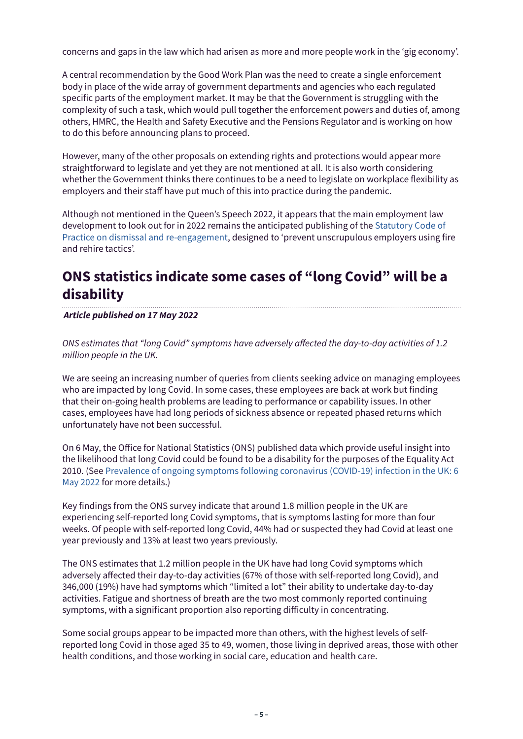concerns and gaps in the law which had arisen as more and more people work in the 'gig economy'.

A central recommendation by the Good Work Plan was the need to create a single enforcement body in place of the wide array of government departments and agencies who each regulated specific parts of the employment market. It may be that the Government is struggling with the complexity of such a task, which would pull together the enforcement powers and duties of, among others, HMRC, the Health and Safety Executive and the Pensions Regulator and is working on how to do this before announcing plans to proceed.

However, many of the other proposals on extending rights and protections would appear more straightforward to legislate and yet they are not mentioned at all. It is also worth considering whether the Government thinks there continues to be a need to legislate on workplace flexibility as employers and their staff have put much of this into practice during the pandemic.

Although not mentioned in the Queen's Speech 2022, it appears that the main employment law development to look out for in 2022 remains the anticipated publishing of the [Statutory Code of](https://www.gov.uk/government/news/new-statutory-code-to-prevent-unscrupulous-employers-using-fire-and-rehire-tactics)  [Practice on dismissal and re-engagement](https://www.gov.uk/government/news/new-statutory-code-to-prevent-unscrupulous-employers-using-fire-and-rehire-tactics), designed to 'prevent unscrupulous employers using fire and rehire tactics'.

# **ONS statistics indicate some cases of "long Covid" will be a disability**

*Article published on 17 May 2022*

*ONS estimates that "long Covid" symptoms have adversely affected the day-to-day activities of 1.2 million people in the UK.*

We are seeing an increasing number of queries from clients seeking advice on managing employees who are impacted by long Covid. In some cases, these employees are back at work but finding that their on-going health problems are leading to performance or capability issues. In other cases, employees have had long periods of sickness absence or repeated phased returns which unfortunately have not been successful.

On 6 May, the Office for National Statistics (ONS) published data which provide useful insight into the likelihood that long Covid could be found to be a disability for the purposes of the Equality Act 2010. (See [Prevalence of ongoing symptoms following coronavirus \(COVID-19\) infection in the UK: 6](https://www.ons.gov.uk/peoplepopulationandcommunity/healthandsocialcare/conditionsanddiseases/bulletins/prevalenceofongoingsymptomsfollowingcoronaviruscovid19infectionintheuk/6may2022)  [May 2022](https://www.ons.gov.uk/peoplepopulationandcommunity/healthandsocialcare/conditionsanddiseases/bulletins/prevalenceofongoingsymptomsfollowingcoronaviruscovid19infectionintheuk/6may2022) for more details.)

Key findings from the ONS survey indicate that around 1.8 million people in the UK are experiencing self-reported long Covid symptoms, that is symptoms lasting for more than four weeks. Of people with self-reported long Covid, 44% had or suspected they had Covid at least one year previously and 13% at least two years previously.

The ONS estimates that 1.2 million people in the UK have had long Covid symptoms which adversely affected their day-to-day activities (67% of those with self-reported long Covid), and 346,000 (19%) have had symptoms which "limited a lot" their ability to undertake day-to-day activities. Fatigue and shortness of breath are the two most commonly reported continuing symptoms, with a significant proportion also reporting difficulty in concentrating.

Some social groups appear to be impacted more than others, with the highest levels of selfreported long Covid in those aged 35 to 49, women, those living in deprived areas, those with other health conditions, and those working in social care, education and health care.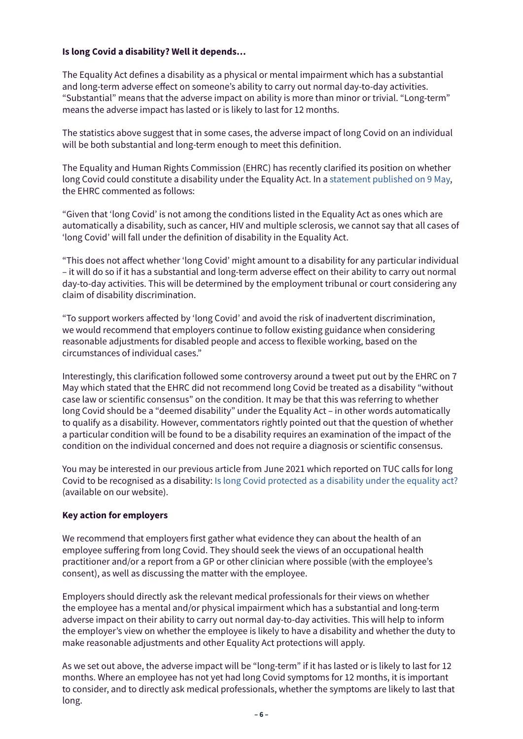#### **Is long Covid a disability? Well it depends…**

The Equality Act defines a disability as a physical or mental impairment which has a substantial and long-term adverse effect on someone's ability to carry out normal day-to-day activities. "Substantial" means that the adverse impact on ability is more than minor or trivial. "Long-term" means the adverse impact has lasted or is likely to last for 12 months.

The statistics above suggest that in some cases, the adverse impact of long Covid on an individual will be both substantial and long-term enough to meet this definition.

The Equality and Human Rights Commission (EHRC) has recently clarified its position on whether long Covid could constitute a disability under the Equality Act. In a [statement published on 9 May](https://www.equalityhumanrights.com/en/our-work/news/ehrc-statement-%E2%80%98long-covid%E2%80%99-disability-and-equality-act), the EHRC commented as follows:

"Given that 'long Covid' is not among the conditions listed in the Equality Act as ones which are automatically a disability, such as cancer, HIV and multiple sclerosis, we cannot say that all cases of 'long Covid' will fall under the definition of disability in the Equality Act.

"This does not affect whether 'long Covid' might amount to a disability for any particular individual – it will do so if it has a substantial and long-term adverse effect on their ability to carry out normal day-to-day activities. This will be determined by the employment tribunal or court considering any claim of disability discrimination.

"To support workers affected by 'long Covid' and avoid the risk of inadvertent discrimination, we would recommend that employers continue to follow existing guidance when considering reasonable adjustments for disabled people and access to flexible working, based on the circumstances of individual cases."

Interestingly, this clarification followed some controversy around a tweet put out by the EHRC on 7 May which stated that the EHRC did not recommend long Covid be treated as a disability "without case law or scientific consensus" on the condition. It may be that this was referring to whether long Covid should be a "deemed disability" under the Equality Act – in other words automatically to qualify as a disability. However, commentators rightly pointed out that the question of whether a particular condition will be found to be a disability requires an examination of the impact of the condition on the individual concerned and does not require a diagnosis or scientific consensus.

You may be interested in our previous article from June 2021 which reported on TUC calls for long Covid to be recognised as a disability: [Is long Covid protected as a disability under the equality act?](https://www.wrigleys.co.uk/news/employment-hr/is-long-covid-protected-as-a-disability-under-the-equality-act/)  (available on our website).

#### **Key action for employers**

We recommend that employers first gather what evidence they can about the health of an employee suffering from long Covid. They should seek the views of an occupational health practitioner and/or a report from a GP or other clinician where possible (with the employee's consent), as well as discussing the matter with the employee.

Employers should directly ask the relevant medical professionals for their views on whether the employee has a mental and/or physical impairment which has a substantial and long-term adverse impact on their ability to carry out normal day-to-day activities. This will help to inform the employer's view on whether the employee is likely to have a disability and whether the duty to make reasonable adjustments and other Equality Act protections will apply.

As we set out above, the adverse impact will be "long-term" if it has lasted or is likely to last for 12 months. Where an employee has not yet had long Covid symptoms for 12 months, it is important to consider, and to directly ask medical professionals, whether the symptoms are likely to last that long.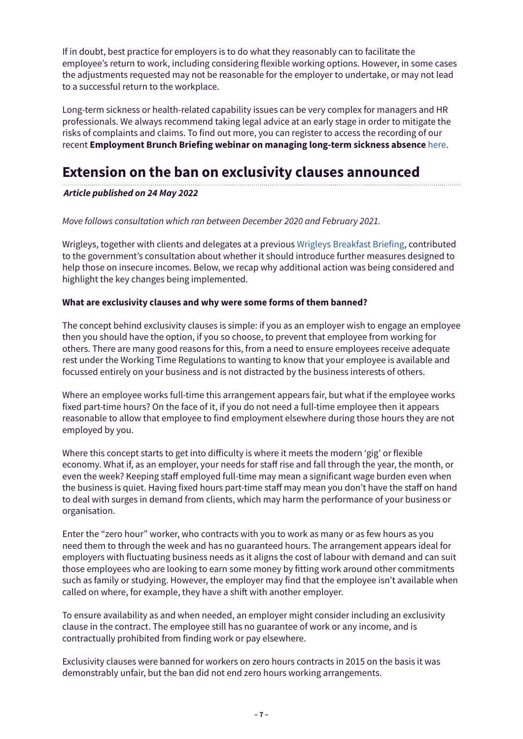If in doubt, best practice for employers is to do what they reasonably can to facilitate the employee's return to work, including considering flexible working options. However, in some cases the adjustments requested may not be reasonable for the employer to undertake, or may not lead to a successful return to the workplace.

Long-term sickness or health-related capability issues can be very complex for managers and HR professionals. We always recommend taking legal advice at an early stage in order to mitigate the risks of complaints and claims. To find out more, you can register to access the recording of our recent **Employment Brunch Briefing webinar on managing long-term sickness absence** [here.](https://www.wrigleys.co.uk/events/recorded-webinars/)

### **Extension on the ban on exclusivity clauses announced**

#### *Article published on 24 May 2022*

#### *Move follows consultation which ran between December 2020 and February 2021.*

Wrigleys, together with clients and delegates at a previous [Wrigleys Breakfast Briefing](https://www.wrigleys.co.uk/event/category/employment/), contributed to the government's consultation about whether it should introduce further measures designed to help those on insecure incomes. Below, we recap why additional action was being considered and highlight the key changes being implemented.

#### **What are exclusivity clauses and why were some forms of them banned?**

The concept behind exclusivity clauses is simple: if you as an employer wish to engage an employee then you should have the option, if you so choose, to prevent that employee from working for others. There are many good reasons for this, from a need to ensure employees receive adequate rest under the Working Time Regulations to wanting to know that your employee is available and focussed entirely on your business and is not distracted by the business interests of others.

Where an employee works full-time this arrangement appears fair, but what if the employee works fixed part-time hours? On the face of it, if you do not need a full-time employee then it appears reasonable to allow that employee to find employment elsewhere during those hours they are not employed by you.

Where this concept starts to get into difficulty is where it meets the modern 'gig' or flexible economy. What if, as an employer, your needs for staff rise and fall through the year, the month, or even the week? Keeping staff employed full-time may mean a significant wage burden even when the business is quiet. Having fixed hours part-time staff may mean you don't have the staff on hand to deal with surges in demand from clients, which may harm the performance of your business or organisation.

Enter the "zero hour" worker, who contracts with you to work as many or as few hours as you need them to through the week and has no guaranteed hours. The arrangement appears ideal for employers with fluctuating business needs as it aligns the cost of labour with demand and can suit those employees who are looking to earn some money by fitting work around other commitments such as family or studying. However, the employer may find that the employee isn't available when called on where, for example, they have a shift with another employer.

To ensure availability as and when needed, an employer might consider including an exclusivity clause in the contract. The employee still has no guarantee of work or any income, and is contractually prohibited from finding work or pay elsewhere.

Exclusivity clauses were banned for workers on zero hours contracts in 2015 on the basis it was demonstrably unfair, but the ban did not end zero hours working arrangements.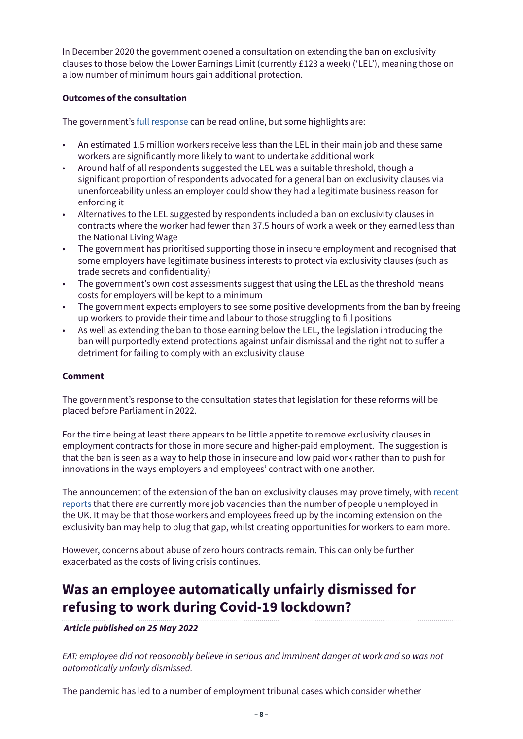In December 2020 the government opened a consultation on extending the ban on exclusivity clauses to those below the Lower Earnings Limit (currently £123 a week) ('LEL'), meaning those on a low number of minimum hours gain additional protection.

#### **Outcomes of the consultation**

The government's [full response](https://www.gov.uk/government/consultations/measures-to-extend-the-ban-on-exclusivity-clauses-in-contracts-of-employment) can be read online, but some highlights are:

- An estimated 1.5 million workers receive less than the LEL in their main job and these same workers are significantly more likely to want to undertake additional work
- Around half of all respondents suggested the LEL was a suitable threshold, though a significant proportion of respondents advocated for a general ban on exclusivity clauses via unenforceability unless an employer could show they had a legitimate business reason for enforcing it
- Alternatives to the LEL suggested by respondents included a ban on exclusivity clauses in contracts where the worker had fewer than 37.5 hours of work a week or they earned less than the National Living Wage
- The government has prioritised supporting those in insecure employment and recognised that some employers have legitimate business interests to protect via exclusivity clauses (such as trade secrets and confidentiality)
- The government's own cost assessments suggest that using the LEL as the threshold means costs for employers will be kept to a minimum
- The government expects employers to see some positive developments from the ban by freeing up workers to provide their time and labour to those struggling to fill positions
- As well as extending the ban to those earning below the LEL, the legislation introducing the ban will purportedly extend protections against unfair dismissal and the right not to suffer a detriment for failing to comply with an exclusivity clause

#### **Comment**

The government's response to the consultation states that legislation for these reforms will be placed before Parliament in 2022.

For the time being at least there appears to be little appetite to remove exclusivity clauses in employment contracts for those in more secure and higher-paid employment. The suggestion is that the ban is seen as a way to help those in insecure and low paid work rather than to push for innovations in the ways employers and employees' contract with one another.

The announcement of the extension of the ban on exclusivity clauses may prove timely, with [recent](https://www.bbc.co.uk/news/uk-61475720)  [reports](https://www.bbc.co.uk/news/uk-61475720) that there are currently more job vacancies than the number of people unemployed in the UK. It may be that those workers and employees freed up by the incoming extension on the exclusivity ban may help to plug that gap, whilst creating opportunities for workers to earn more.

However, concerns about abuse of zero hours contracts remain. This can only be further exacerbated as the costs of living crisis continues.

## **Was an employee automatically unfairly dismissed for refusing to work during Covid-19 lockdown?**

#### *Article published on 25 May 2022*

*EAT: employee did not reasonably believe in serious and imminent danger at work and so was not automatically unfairly dismissed.*

The pandemic has led to a number of employment tribunal cases which consider whether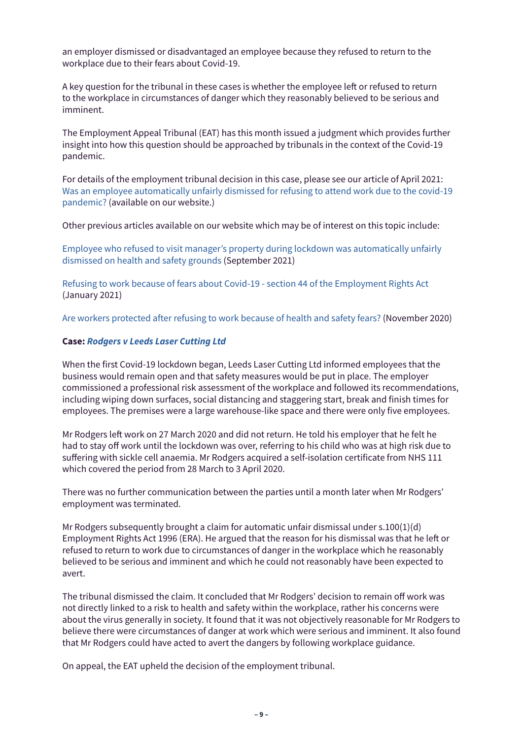an employer dismissed or disadvantaged an employee because they refused to return to the workplace due to their fears about Covid-19.

A key question for the tribunal in these cases is whether the employee left or refused to return to the workplace in circumstances of danger which they reasonably believed to be serious and imminent.

The Employment Appeal Tribunal (EAT) has this month issued a judgment which provides further insight into how this question should be approached by tribunals in the context of the Covid-19 pandemic.

For details of the employment tribunal decision in this case, please see our article of April 2021: [Was an employee automatically unfairly dismissed for refusing to attend work due to the covid-19](https://www.wrigleys.co.uk/news/employment-hr/was-an-employee-automatically-unfairly-dismissed-for-refusing-to-attend-work-due-to-the-covid-19-pandemic/)  [pandemic?](https://www.wrigleys.co.uk/news/employment-hr/was-an-employee-automatically-unfairly-dismissed-for-refusing-to-attend-work-due-to-the-covid-19-pandemic/) (available on our website.)

Other previous articles available on our website which may be of interest on this topic include:

[Employee who refused to visit manager's property during lockdown was automatically unfairly](https://www.wrigleys.co.uk/news/employment-hr/employee-who-refused-to-visit-managers-property-during-lockdown-was-automatically-unfairly-dismissed-on-health-and-safety-grounds/)  [dismissed on health and safety grounds](https://www.wrigleys.co.uk/news/employment-hr/employee-who-refused-to-visit-managers-property-during-lockdown-was-automatically-unfairly-dismissed-on-health-and-safety-grounds/) (September 2021)

[Refusing to work because of fears about Covid-19 - section 44 of the Employment Rights Act](https://www.wrigleys.co.uk/news/employment-hr/refusing-to-work-because-of-fears-about-covid-19---section-44-of-the-employment-rights-act-/)  (January 2021)

[Are workers protected after refusing to work because of health and safety fears?](https://www.wrigleys.co.uk/news/employment-hr/are-workers-protected-after-refusing-to-work-because-of-health-and-safety-fears/) (November 2020)

#### **Case:** *[Rodgers v Leeds Laser Cutting Ltd](https://www.gov.uk/employment-appeal-tribunal-decisions/mr-d-rodgers-v-leeds-laser-cutting-ltd-2022-eat-69)*

When the first Covid-19 lockdown began, Leeds Laser Cutting Ltd informed employees that the business would remain open and that safety measures would be put in place. The employer commissioned a professional risk assessment of the workplace and followed its recommendations, including wiping down surfaces, social distancing and staggering start, break and finish times for employees. The premises were a large warehouse-like space and there were only five employees.

Mr Rodgers left work on 27 March 2020 and did not return. He told his employer that he felt he had to stay off work until the lockdown was over, referring to his child who was at high risk due to suffering with sickle cell anaemia. Mr Rodgers acquired a self-isolation certificate from NHS 111 which covered the period from 28 March to 3 April 2020.

There was no further communication between the parties until a month later when Mr Rodgers' employment was terminated.

Mr Rodgers subsequently brought a claim for automatic unfair dismissal under  $s.100(1)(d)$ Employment Rights Act 1996 (ERA). He argued that the reason for his dismissal was that he left or refused to return to work due to circumstances of danger in the workplace which he reasonably believed to be serious and imminent and which he could not reasonably have been expected to avert.

The tribunal dismissed the claim. It concluded that Mr Rodgers' decision to remain off work was not directly linked to a risk to health and safety within the workplace, rather his concerns were about the virus generally in society. It found that it was not objectively reasonable for Mr Rodgers to believe there were circumstances of danger at work which were serious and imminent. It also found that Mr Rodgers could have acted to avert the dangers by following workplace guidance.

On appeal, the EAT upheld the decision of the employment tribunal.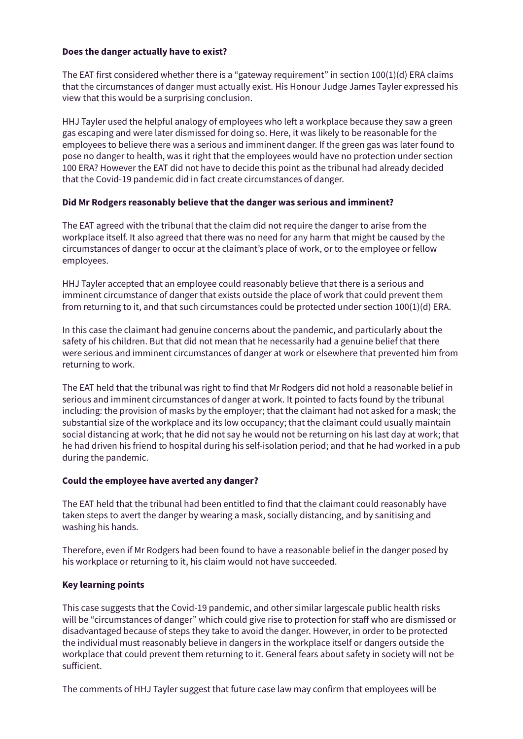#### **Does the danger actually have to exist?**

The EAT first considered whether there is a "gateway requirement" in section 100(1)(d) ERA claims that the circumstances of danger must actually exist. His Honour Judge James Tayler expressed his view that this would be a surprising conclusion.

HHJ Tayler used the helpful analogy of employees who left a workplace because they saw a green gas escaping and were later dismissed for doing so. Here, it was likely to be reasonable for the employees to believe there was a serious and imminent danger. If the green gas was later found to pose no danger to health, was it right that the employees would have no protection under section 100 ERA? However the EAT did not have to decide this point as the tribunal had already decided that the Covid-19 pandemic did in fact create circumstances of danger.

#### **Did Mr Rodgers reasonably believe that the danger was serious and imminent?**

The EAT agreed with the tribunal that the claim did not require the danger to arise from the workplace itself. It also agreed that there was no need for any harm that might be caused by the circumstances of danger to occur at the claimant's place of work, or to the employee or fellow employees.

HHJ Tayler accepted that an employee could reasonably believe that there is a serious and imminent circumstance of danger that exists outside the place of work that could prevent them from returning to it, and that such circumstances could be protected under section 100(1)(d) ERA.

In this case the claimant had genuine concerns about the pandemic, and particularly about the safety of his children. But that did not mean that he necessarily had a genuine belief that there were serious and imminent circumstances of danger at work or elsewhere that prevented him from returning to work.

The EAT held that the tribunal was right to find that Mr Rodgers did not hold a reasonable belief in serious and imminent circumstances of danger at work. It pointed to facts found by the tribunal including: the provision of masks by the employer; that the claimant had not asked for a mask; the substantial size of the workplace and its low occupancy; that the claimant could usually maintain social distancing at work; that he did not say he would not be returning on his last day at work; that he had driven his friend to hospital during his self-isolation period; and that he had worked in a pub during the pandemic.

#### **Could the employee have averted any danger?**

The EAT held that the tribunal had been entitled to find that the claimant could reasonably have taken steps to avert the danger by wearing a mask, socially distancing, and by sanitising and washing his hands.

Therefore, even if Mr Rodgers had been found to have a reasonable belief in the danger posed by his workplace or returning to it, his claim would not have succeeded.

#### **Key learning points**

This case suggests that the Covid-19 pandemic, and other similar largescale public health risks will be "circumstances of danger" which could give rise to protection for staff who are dismissed or disadvantaged because of steps they take to avoid the danger. However, in order to be protected the individual must reasonably believe in dangers in the workplace itself or dangers outside the workplace that could prevent them returning to it. General fears about safety in society will not be sufficient.

The comments of HHJ Tayler suggest that future case law may confirm that employees will be